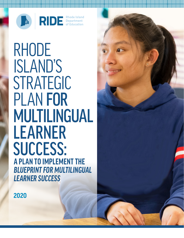

**RIDE** Rhode Island<br>of Education

RHODE ISLAND'S STRATEGIC<br>PLAN FOR MULTILINGUAL LEARNER SUCCESS: **A PLAN TO IMPLEMENT THE**  *BLUEPRINT FOR MULTILINGUAL LEARNER SUCCESS*

**2020**

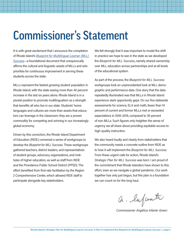### Commissioner's Statement

It is with great excitement that I announce the completion of Rhode Island's *[Blueprint for Multilingual Learner \(MLL\)](https://www.ride.ri.gov/StudentsFamilies/EnglishLearners.aspx#40321913-blueprint-for-mll-success)  [Success](https://www.ride.ri.gov/StudentsFamilies/EnglishLearners.aspx#40321913-blueprint-for-mll-success)*—a foundational document that unequivocally affirms the cultural and linguistic assets of MLLs and sets priorities for continuous improvement in serving these students across the state.

MLLs represent the fastest-growing student population in Rhode Island, with the state seeing more than 40 percent increase in the last six years alone. Rhode Island is in a pivotal position to promote multilingualism as a strength that benefits all who live in our state. Students' home languages and cultures are more than assets that educators can leverage in the classroom; they are a proven commodity for competing and winning in our increasingly global economy.

Driven by this conviction, the Rhode Island Department of Education (RIDE) convened a series of workgroups to develop the *Blueprint for MLL Success*. These workgroups gathered teachers, district leaders, and representatives of student groups, advocacy organizations, and institutes of higher education, as well as staff from RIDE and the Providence Public School District (PPSD). The effort benefited from first-rate facilitation by the Region 2 Comprehensive Center, which allowed RIDE staff to participate alongside key stakeholders.

We felt strongly that it was important to model the shift in practice we hope to see in the state as we developed the *Blueprint for MLL Success*, namely shared ownership over MLL education across partnerships and at all levels of the educational system.

As part of the process, the *Blueprint for MLL Success*  workgroups took an unprecedented look at MLL demographic and performance data. One story that the data repeatedly illuminated was that MLLs in Rhode Island experience stark opportunity gaps. On our five statewide assessments for science, ELA and math, fewer than 14 percent of current and former MLLs met or exceeded expectations in 2018–2019, compared to 39 percent of non-MLLs. Such figures only heighten the sense of urgency we all share about providing equitable access to high-quality instruction.

We also heard loudly and clearly from stakeholders that the community needs a concrete outline from RIDE as to how it will implement the *Blueprint for MLL Success.* From these urgent calls for action, Rhode Island's *Strategic Plan for MLL Success* was born. I am proud of the commitment that Rhode Islanders have shown to this effort, even as we navigate a global pandemic. Our work together has only just begun, but this plan is a foundation we can count on for the long haul.

a. lufante

*Commissioner Angélica Infante-Green*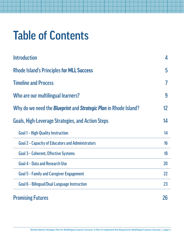# Table of Contents

| <b>Introduction</b>                                                            | 4  |
|--------------------------------------------------------------------------------|----|
| <b>Rhode Island's Principles for MLL Success</b>                               | 5  |
| <b>Timeline and Process</b>                                                    |    |
| Who are our multilingual learners?                                             | 9  |
| Why do we need the <i>Blueprint</i> and <i>Strategic Plan</i> in Rhode Island? | 12 |
| <b>Goals, High-Leverage Strategies, and Action Steps</b>                       | 14 |
| <b>Goal 1 - High-Quality Instruction</b>                                       | 14 |
| Goal 2 - Capacity of Educators and Administrators                              | 16 |
| <b>Goal 3 - Coherent, Effective Systems</b>                                    | 18 |
| Goal 4 - Data and Research Use                                                 | 20 |
| <b>Goal 5 - Family and Caregiver Engagement</b>                                | 22 |
| Goal 6 - Bilingual/Dual Language Instruction                                   | 23 |
| <b>Promising Futures</b>                                                       | 26 |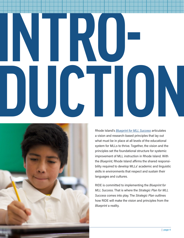# **INTRO-DUCTION**



Rhode Island's *[Blueprint for MLL Success](https://www.ride.ri.gov/StudentsFamilies/EnglishLearners.aspx#40321913-blueprint-for-mll-success)* articulates a vision and research-based principles that lay out what must be in place at all levels of the educational system for MLLs to thrive. Together, the vision and the principles set the foundational structure for systemic improvement of MLL instruction in Rhode Island. With the *Blueprint,* Rhode Island affirms the shared responsibility required to develop MLLs' academic and linguistic skills in environments that respect and sustain their languages and cultures.

RIDE is committed to implementing the *Blueprint for MLL Success*. That is where the *[Strategic Plan for MLL](https://www.ride.ri.gov/StudentsFamilies/EnglishLearners.aspx#40321913-blueprint-for-mll-success)  [Success](https://www.ride.ri.gov/StudentsFamilies/EnglishLearners.aspx#40321913-blueprint-for-mll-success)* comes into play. The *Strategic Plan* outlines how RIDE will make the vision and principles from the *Blueprint* a reality.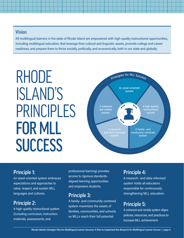#### Vision

All multilingual learners in the state of Rhode Island are empowered with high-quality instructional opportunities, including multilingual education, that leverage their cultural and linguistic assets, promote college and career readiness, and prepare them to thrive socially, politically, and economically, both in our state and globally.

# ISLAND'S PRINCIPLES FOR MLL **SUCCESS**



#### Principle 1:

An asset-oriented system embraces expectations and approaches to value, respect, and sustain MLL languages and cultures.

#### Principle 2:

A high-quality instructional system (including curriculum, instruction, materials, assessments, and

professional learning) provides access to rigorous standardsaligned learning opportunities and empowers students.

#### Principle 3:

A family- and community-centered system maximizes the assets of families, communities, and schools so MLLs reach their full potential.

#### Principle 4:

A research- and data-informed system holds all educators responsible for continuously strengthening MLL education.

#### Principle 5:

A coherent and nimble system aligns policies, resources, and practices to increase MLL achievement.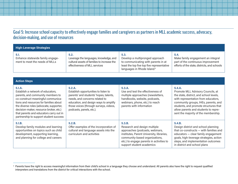#### Goal 5: Increase school capacity to effectively engage families and caregivers as partners in MLL academic success, advocacy, decision-making, and use of resources

| <b>High-Leverage Strategies</b>                                                                                                                                                                                                                                                                                                            |                                                                                                                                                                                                                                                                                                          |                                                                                                                                                                                                                                   |                                                                                                                                                                                                                                                                                                |  |  |
|--------------------------------------------------------------------------------------------------------------------------------------------------------------------------------------------------------------------------------------------------------------------------------------------------------------------------------------------|----------------------------------------------------------------------------------------------------------------------------------------------------------------------------------------------------------------------------------------------------------------------------------------------------------|-----------------------------------------------------------------------------------------------------------------------------------------------------------------------------------------------------------------------------------|------------------------------------------------------------------------------------------------------------------------------------------------------------------------------------------------------------------------------------------------------------------------------------------------|--|--|
| 5.1.<br>Enhance statewide family engage-<br>ment to meet the needs of MLLs                                                                                                                                                                                                                                                                 | 5.2.<br>5.3.<br>Leverage the languages, knowledge, and<br>Develop a multipronged approach<br>cultural assets of families to increase the<br>to communicating with parents in at<br>effectiveness of MLL services<br>least the top five top five representative<br>languages in Rhode Island <sup>3</sup> |                                                                                                                                                                                                                                   | 5.4.<br>Make family engagement an integral<br>part of the continuous improvement<br>efforts of the state, districts, and schools                                                                                                                                                               |  |  |
|                                                                                                                                                                                                                                                                                                                                            |                                                                                                                                                                                                                                                                                                          |                                                                                                                                                                                                                                   |                                                                                                                                                                                                                                                                                                |  |  |
| <b>Action Steps</b>                                                                                                                                                                                                                                                                                                                        |                                                                                                                                                                                                                                                                                                          |                                                                                                                                                                                                                                   |                                                                                                                                                                                                                                                                                                |  |  |
| 5.1.A.<br>Establish a network of educators,<br>parents, and community members to<br>co-construct meaningful communica-<br>tions and resources for families about<br>the diverse roles (advocate, supporter,<br>decision-maker, resource broker, etc.)<br>that parents and educators carry out in<br>partnership to support student success | 5.2.A.<br>Establish opportunities to listen to<br>parents' and students' hopes, talents,<br>needs, and concerns related to<br>education, and design ways to amplify<br>those voices (through surveys, videos,<br>podcasts, panels, etc.).                                                                | 5.3.A.<br>Use and test the effectiveness of<br>multiple approaches (newsletters,<br>handbooks, website, podcasts,<br>webinars, phone, etc.) to reach<br>parents with information                                                  | 5.4.A.<br>Promote MLL Advisory Councils, at<br>the state, district, and school levels,<br>with representation from educators,<br>community groups, IHEs, parents, and<br>students, and promote structures that<br>allow parents and students to repre-<br>sent the majority of the membership. |  |  |
| 5.1.B.<br>Develop family modules and learning<br>opportunities on topics such as child<br>development, supporting learning,<br>and planning for college and careers                                                                                                                                                                        | 5.2.B.<br>Offer examples of the incorporation of<br>cultural and language assets into the<br>curriculum and activities                                                                                                                                                                                   | 5.3.B.<br>Research and design multiple<br>approaches (podcasts, webinars,<br>institutes, Parent University, libraries,<br>community-based organizations,<br>etc.) to engage parents in activities to<br>support student academics | 5.4.B.<br>Design district and school planning<br>that co-constructs - with families and<br>educators - clear family engagement<br>goals, high-leverage strategies, action<br>steps, and implementation outcomes<br>in district and school plans                                                |  |  |

 $^{\rm 3}$  Parents have the right to access meaningful information from their child's school in a language they choose and understand. All parents also have the right to request qualified interpreters and translations from the district for critical interactions with the school.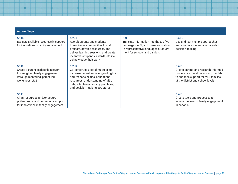| <b>Action Steps</b>                                                                                                                   |                                                                                                                                                                                                                                    |                                                                                                                                                                        |                                                                                                                                                                   |
|---------------------------------------------------------------------------------------------------------------------------------------|------------------------------------------------------------------------------------------------------------------------------------------------------------------------------------------------------------------------------------|------------------------------------------------------------------------------------------------------------------------------------------------------------------------|-------------------------------------------------------------------------------------------------------------------------------------------------------------------|
| 5.1.C.<br>Evaluate available resources in support<br>for innovations in family engagement                                             | 5.2.C.<br>Recruit parents and students<br>from diverse communities to staff<br>projects, develop resources, and<br>deliver learning sessions, and create<br>incentives (stipends, awards, etc.) to<br>acknowledge their work       | 5.3.C.<br>Translate information into the top five<br>languages in RI, and make translation<br>in representative languages a require-<br>ment for schools and districts | 5.4.C.<br>Use and test multiple approaches<br>and structures to engage parents in<br>decision-making                                                              |
| 5.1.D.<br>Create a parent leadership network<br>to strengthen family engagement<br>(through mentoring, parent-led<br>workshops, etc.) | 5.2.D.<br>Co-construct a set of modules to<br>increase parent knowledge of rights<br>and responsibilities, educational<br>resources, understanding of MLL<br>data, effective advocacy practices,<br>and decision-making structures |                                                                                                                                                                        | 5.4.D.<br>Create parent- and research-informed<br>models or expand on existing models<br>to enhance support for MLL families<br>at the district and school levels |
| 5.1.E.<br>Align resources and/or secure<br>philanthropic and community support<br>for innovations in family engagement                |                                                                                                                                                                                                                                    |                                                                                                                                                                        | 5.4.E.<br>Create tools and processes to<br>assess the level of family engagement<br>in schools                                                                    |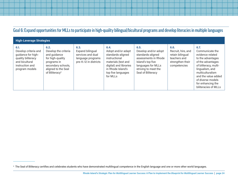#### Goal 6: Expand opportunities for MLLs to participate in high-quality bilingual/bicultural programs and develop literacies in multiple languages

| <b>High-Leverage Strategies</b>                                                                                                 |                                                                                                                                                            |                                                                                             |                                                                                                                                                                          |                                                                                                                                                                    |                                                                                                    |                                                                                                                                                                                                                                                |
|---------------------------------------------------------------------------------------------------------------------------------|------------------------------------------------------------------------------------------------------------------------------------------------------------|---------------------------------------------------------------------------------------------|--------------------------------------------------------------------------------------------------------------------------------------------------------------------------|--------------------------------------------------------------------------------------------------------------------------------------------------------------------|----------------------------------------------------------------------------------------------------|------------------------------------------------------------------------------------------------------------------------------------------------------------------------------------------------------------------------------------------------|
| 6.1.<br>Develop criteria and<br>guidance for high-<br>quality biliteracy<br>and bicultural<br>instruction and<br>program models | 6.2.<br>Develop the criteria<br>and guidance<br>for high-quality<br>programs in<br>secondary schools,<br>aligned to the Seal<br>of Biliteracy <sup>4</sup> | 6.3.<br>Expand bilingual<br>services and dual<br>language programs<br>pre-K-12 in districts | 6.4.<br>Adopt and/or adapt<br>standards-aligned<br>instructional<br>materials (text and<br>digital) and libraries<br>in Rhode Island's<br>top five languages<br>for MLLs | 6.5.<br>Develop and/or adopt<br>standards-aligned<br>assessments in Rhode<br>Island's top five<br>languages for MLLs<br>striving to meet the<br>Seal of Biliteracy | 6.6.<br>Recruit, hire, and<br>retain bilingual<br>teachers and<br>strengthen their<br>competencies | 6.7.<br>Communicate the<br>evidence related<br>to the advantages<br>of the advantages<br>of biliteracy, multi-<br>lingualism, and<br>multiculturalism<br>and the value added<br>of diverse models<br>for enhancing the<br>biliteracies of MLLs |

<sup>&</sup>lt;sup>4</sup> The Seal of Biliteracy certifies and celebrates students who have demonstrated multilingual competence in the English language and one or more other world languages.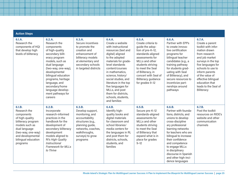| <b>Action Steps</b>                                                                                                                                                                            |                                                                                                                                                                                                                                                                                                               |                                                                                                                                                                                  |                                                                                                                                                                                                                                                                                                                                                                          |                                                                                                                                                                                                                                                                |                                                                                                                                                                                                                                                                                                                                          |                                                                                                                                                                                                                                                                                          |
|------------------------------------------------------------------------------------------------------------------------------------------------------------------------------------------------|---------------------------------------------------------------------------------------------------------------------------------------------------------------------------------------------------------------------------------------------------------------------------------------------------------------|----------------------------------------------------------------------------------------------------------------------------------------------------------------------------------|--------------------------------------------------------------------------------------------------------------------------------------------------------------------------------------------------------------------------------------------------------------------------------------------------------------------------------------------------------------------------|----------------------------------------------------------------------------------------------------------------------------------------------------------------------------------------------------------------------------------------------------------------|------------------------------------------------------------------------------------------------------------------------------------------------------------------------------------------------------------------------------------------------------------------------------------------------------------------------------------------|------------------------------------------------------------------------------------------------------------------------------------------------------------------------------------------------------------------------------------------------------------------------------------------|
| 6.1.A.<br>Research the<br>components of HQI<br>that develop high<br>levels of biliteracy                                                                                                       | 6.2.A.<br>Research the<br>components<br>of high-quality<br>secondary bilit-<br>eracy program<br>models, such as<br>dual language<br>(two-way, one-way),<br>developmental<br>bilingual education<br>programs, heritage<br>language, and<br>secondary/home<br>language develop-<br>ment pathways for<br>careers | 6.3.A.<br>Secure incentives<br>to promote the<br>creation and<br>enhancement of<br>biliteracy models<br>at elementary and<br>secondary schools<br>in targeted districts          | 6.4.A.<br>Create a website<br>with instructional<br>resources (text and<br>digital) aligned<br>to the adopted<br>materials for grade-<br>level standards<br>content/courses<br>in mathematics,<br>science, history/<br>social studies, and<br>literature in the top<br>five languages for<br>MLLs, and post<br>them for districts,<br>schools, students,<br>and families | 6.5.A.<br>Create criteria to<br>guide the adop-<br>tion of pre-K-12,<br>standards-aligned<br>assessments for<br>MLLs and other<br>students striving<br>to meet the Seal<br>of Biliteracy, in<br>concert with Seal of<br>Biliteracy guidance<br>for grades 9-12 | 6.6.A.<br>Partner with EPPs<br>to create innova-<br>tive certification<br>programs for<br>bilingual teacher<br>candidates (e.g., a<br>training pathway<br>for students grad-<br>uating with Seal<br>of Biliteracy), and<br>secure resources to<br>incentivize part-<br>nerships around<br>pathways                                       | 6.7.A.<br>Create a parent<br>toolkit with infor-<br>mation drawn<br>from research<br>and job market<br>surveys in the top<br>five languages for<br>schools to use to<br>inform parents<br>of the value of<br>effective bilingual<br>education that<br>leads to the Seal of<br>Biliteracy |
| 6.1.B.<br>Research the<br>components<br>of high-quality<br>biliteracy program<br>models such as<br>dual language<br>(two-way, one-way)<br>and developmental<br>bilingual education<br>programs | 6.2.B.<br>Incorporate<br>research-informed<br>practices in the<br>handbook for the<br>development of<br>secondary biliteracy<br>development<br>models aligned to<br>RI's High-Quality<br>Instructional<br><b>Framework for MLLs</b><br>to Thrive                                                              | 6, 3, B,<br>Develop support,<br>monitoring, and<br>accountability<br>structures (e.g.,<br>planning guide,<br>networks, coaches,<br>walkthroughs,<br>surveys) to grow<br>programs | 6.4.B.<br>Identify high-<br>quality books and<br>digital materials<br>for classroom and<br>school libraries/<br>media centers for<br>the languages in RI,<br>and post them for<br>districts, schools,<br>students, and<br>families                                                                                                                                       | 6.5.B.<br>Secure pre-K-12<br>standards-aligned<br>assessments for<br>MLLs and other<br>students striving<br>to meet the Seal<br>of Biliteracy that<br>expand what is in<br>place for grades<br>$9 - 12$                                                        | 6.6.B.<br>Partner with founda-<br>tions, districts, and<br>unions to develop<br>cross-discipline<br>ary professional<br>learning networks<br>for teachers who are<br>bilingual to increase<br>their confidence<br>and competence<br>to engage MLLs<br>in disciplinary<br>discourse in Spanish<br>and other high-inci-<br>dence languages | 6.7.B.<br>Post the toolkit<br>resources on RIDE's<br>website and other<br>communication<br>channels                                                                                                                                                                                      |

#### **Rhode Island's** *Strategic Plan for Multilingual Learner Success***: A Plan to Implement the** *Blueprint for Multilingual Learner Success* **| page 25**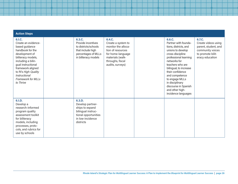|  | <b>Action Steps</b> |  |  |
|--|---------------------|--|--|
|  |                     |  |  |

| 6.1.C.<br>Create an evidence-<br>based guidance<br>handbook for the<br>development of<br>biliteracy models,<br>including a bilin-<br>gual instructional<br>framework aligned<br>to RI's High-Quality<br>Instructional<br><b>Framework for MLLs</b><br>to Thrive | 6.3.C.<br>Provide incentives<br>to districts/schools<br>that include high<br>percentages of MLLs<br>in biliteracy models     | 6.4.C.<br>Create a system to<br>monitor the alloca-<br>tion of resources<br>for home-language<br>materials (walk-<br>throughs, fiscal<br>audits, surveys) | 6.6.C.<br>Partner with founda-<br>tions, districts, and<br>unions to develop<br>cross-discipline<br>professional learning<br>networks for<br>teachers who are<br>bilingual, to increase<br>their confidence<br>and competence<br>to engage MLLs<br>in disciplinary<br>discourse in Spanish<br>and other high-<br>incidence languages | 6.7.C.<br>Create videos using<br>parent, student, and<br>community voices<br>to promote bilit-<br>eracy education |
|-----------------------------------------------------------------------------------------------------------------------------------------------------------------------------------------------------------------------------------------------------------------|------------------------------------------------------------------------------------------------------------------------------|-----------------------------------------------------------------------------------------------------------------------------------------------------------|--------------------------------------------------------------------------------------------------------------------------------------------------------------------------------------------------------------------------------------------------------------------------------------------------------------------------------------|-------------------------------------------------------------------------------------------------------------------|
| 6.1.D.<br>Develop a<br>research-informed<br>program quality<br>assessment toolkit<br>for biliteracy<br>models, including<br>processes, proto-<br>cols, and rubrics for<br>use by schools                                                                        | 6.3.D.<br>Develop partner-<br>ships to expand<br>bilingual instruc-<br>tional opportunities<br>in low-incidence<br>districts |                                                                                                                                                           |                                                                                                                                                                                                                                                                                                                                      |                                                                                                                   |